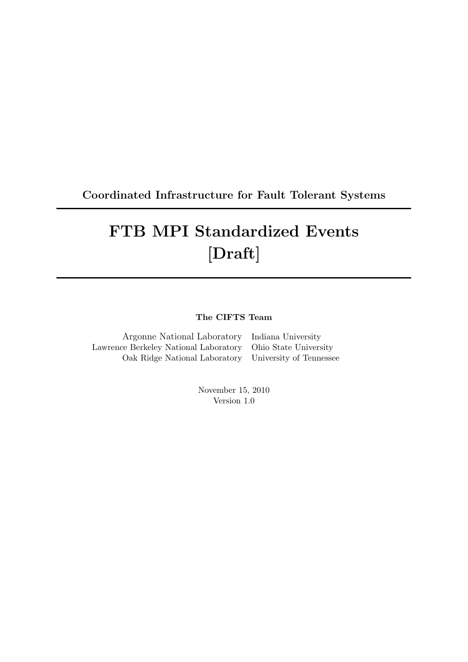# Coordinated Infrastructure for Fault Tolerant Systems

# FTB MPI Standardized Events [Draft]

## The CIFTS Team

| Argonne National Laboratory Indiana University              |  |
|-------------------------------------------------------------|--|
| Lawrence Berkeley National Laboratory Ohio State University |  |
| Oak Ridge National Laboratory University of Tennessee       |  |

November 15, 2010 Version 1.0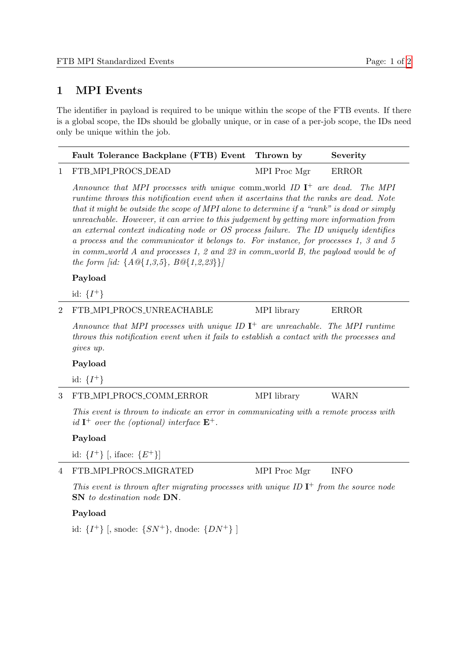### 1 MPI Events

The identifier in payload is required to be unique within the scope of the FTB events. If there is a global scope, the IDs should be globally unique, or in case of a per-job scope, the IDs need only be unique within the job.

| Fault Tolerance Backplane (FTB) Event Thrown by |              | Severity |
|-------------------------------------------------|--------------|----------|
| 1 FTB_MPI_PROCS_DEAD                            | MPI Proc Mgr | ERROR    |

Announce that MPI processes with unique comm world ID  $I^+$  are dead. The MPI runtime throws this notification event when it ascertains that the ranks are dead. Note that it might be outside the scope of MPI alone to determine if a "rank" is dead or simply unreachable. However, it can arrive to this judgement by getting more information from an external context indicating node or OS process failure. The ID uniquely identifies a process and the communicator it belongs to. For instance, for processes 1, 3 and 5 in comm world A and processes 1, 2 and 23 in comm world B, the payload would be of the form [id:  $\{A@{1,3,5\}, B@{1,2,23\}\}\$ 

#### Payload

id:  $\{I^{+}\}$ 

2 FTB\_MPI\_PROCS\_UNREACHABLE MPI library ERROR

Announce that MPI processes with unique ID  $I^+$  are unreachable. The MPI runtime throws this notification event when it fails to establish a contact with the processes and gives up.

#### Payload

id:  $\{I^{+}\}$ 

3 FTB\_MPI\_PROCS\_COMM\_ERROR MPI library WARN

This event is thrown to indicate an error in communicating with a remote process with id  $I^+$  over the (optional) interface  $E^+$ .

#### Payload

id:  $\{I^+\}\$ , iface:  $\{E^+\}\$ 

4 FTB\_MPI\_PROCS\_MIGRATED MPI Proc Mgr INFO

This event is thrown after migrating processes with unique ID  $I^+$  from the source node SN to destination node DN.

#### Payload

id:  $\{I^+\}\$ , snode:  $\{SN^+\}$ , dnode:  $\{DN^+\}$ ]